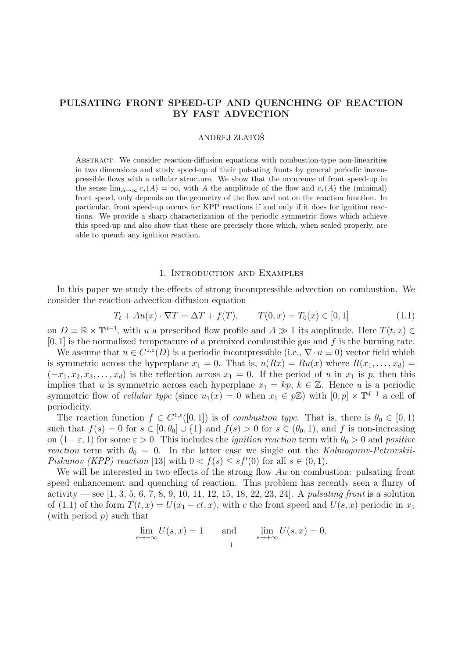# PULSATING FRONT SPEED-UP AND QUENCHING OF REACTION BY FAST ADVECTION

#### ANDREJ ZLATOSˇ

Abstract. We consider reaction-diffusion equations with combustion-type non-linearities in two dimensions and study speed-up of their pulsating fronts by general periodic incompressible flows with a cellular structure. We show that the occurence of front speed-up in the sense  $\lim_{A\to\infty}c_*(A) = \infty$ , with A the amplitude of the flow and  $c_*(A)$  the (minimal) front speed, only depends on the geometry of the flow and not on the reaction function. In particular, front speed-up occurs for KPP reactions if and only if it does for ignition reactions. We provide a sharp characterization of the periodic symmetric flows which achieve this speed-up and also show that these are precisely those which, when scaled properly, are able to quench any ignition reaction.

#### 1. Introduction and Examples

In this paper we study the effects of strong incompressible advection on combustion. We consider the reaction-advection-diffusion equation

$$
T_t + Au(x) \cdot \nabla T = \Delta T + f(T), \qquad T(0, x) = T_0(x) \in [0, 1]
$$
\n(1.1)

on  $D \equiv \mathbb{R} \times \mathbb{T}^{d-1}$ , with u a prescribed flow profile and  $A \gg 1$  its amplitude. Here  $T(t, x) \in$  $[0, 1]$  is the normalized temperature of a premixed combustible gas and f is the burning rate.

We assume that  $u \in C^{1,\epsilon}(D)$  is a periodic incompressible (i.e.,  $\nabla \cdot u \equiv 0$ ) vector field which is symmetric across the hyperplane  $x_1 = 0$ . That is,  $u(Rx) = Ru(x)$  where  $R(x_1, \ldots, x_d) =$  $(-x_1, x_2, x_3, \ldots, x_d)$  is the reflection across  $x_1 = 0$ . If the period of u in  $x_1$  is p, then this implies that u is symmetric across each hyperplane  $x_1 = kp, k \in \mathbb{Z}$ . Hence u is a periodic symmetric flow of *cellular type* (since  $u_1(x) = 0$  when  $x_1 \in p\mathbb{Z}$ ) with  $[0, p] \times \mathbb{T}^{d-1}$  a cell of periodicity.

The reaction function  $f \in C^{1,\varepsilon}([0,1])$  is of *combustion type*. That is, there is  $\theta_0 \in [0,1)$ such that  $f(s) = 0$  for  $s \in [0, \theta_0] \cup \{1\}$  and  $f(s) > 0$  for  $s \in (\theta_0, 1)$ , and f is non-increasing on  $(1-\varepsilon, 1)$  for some  $\varepsilon > 0$ . This includes the *ignition reaction* term with  $\theta_0 > 0$  and *positive* reaction term with  $\theta_0 = 0$ . In the latter case we single out the Kolmogorov-Petrovskii-Piskunov (KPP) reaction [13] with  $0 < f(s) \leq sf'(0)$  for all  $s \in (0,1)$ .

We will be interested in two effects of the strong flow  $Au$  on combustion: pulsating front speed enhancement and quenching of reaction. This problem has recently seen a flurry of activity — see  $[1, 3, 5, 6, 7, 8, 9, 10, 11, 12, 15, 18, 22, 23, 24]$ . A *pulsating front* is a solution of (1.1) of the form  $T(t, x) = U(x_1 - ct, x)$ , with c the front speed and  $U(s, x)$  periodic in  $x_1$ (with period  $p$ ) such that

$$
\lim_{s \to -\infty} U(s, x) = 1 \quad \text{and} \quad \lim_{s \to +\infty} U(s, x) = 0,
$$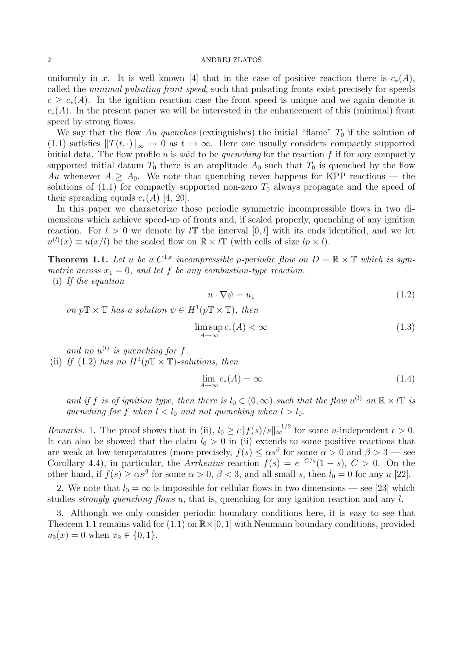uniformly in x. It is well known [4] that in the case of positive reaction there is  $c_*(A)$ , called the minimal pulsating front speed, such that pulsating fronts exist precisely for speeds  $c > c_*(A)$ . In the ignition reaction case the front speed is unique and we again denote it  $c<sub>*</sub>(A)$ . In the present paper we will be interested in the enhancement of this (minimal) front speed by strong flows.

We say that the flow Au quenches (extinguishes) the initial "flame"  $T_0$  if the solution of (1.1) satisfies  $||T(t, \cdot)||_{\infty} \to 0$  as  $t \to \infty$ . Here one usually considers compactly supported initial data. The flow profile u is said to be quenching for the reaction  $f$  if for any compactly supported initial datum  $T_0$  there is an amplitude  $A_0$  such that  $T_0$  is quenched by the flow Au whenever  $A \geq A_0$ . We note that quenching never happens for KPP reactions — the solutions of  $(1.1)$  for compactly supported non-zero  $T_0$  always propagate and the speed of their spreading equals  $c_*(A)$  [4, 20].

In this paper we characterize those periodic symmetric incompressible flows in two dimensions which achieve speed-up of fronts and, if scaled properly, quenching of any ignition reaction. For  $l > 0$  we denote by  $l\mathbb{T}$  the interval  $[0, l]$  with its ends identified, and we let  $u^{(l)}(x) \equiv u(x/l)$  be the scaled flow on  $\mathbb{R} \times l\mathbb{T}$  (with cells of size  $lp \times l$ ).

**Theorem 1.1.** Let u be a  $C^{1,\varepsilon}$  incompressible p-periodic flow on  $D = \mathbb{R} \times \mathbb{T}$  which is symmetric across  $x_1 = 0$ , and let f be any combustion-type reaction.

(i) If the equation

$$
u \cdot \nabla \psi = u_1 \tag{1.2}
$$

on  $p\mathbb{T} \times \mathbb{T}$  has a solution  $\psi \in H^1(p\mathbb{T} \times \mathbb{T})$ , then

$$
\limsup_{A \to \infty} c_*(A) < \infty \tag{1.3}
$$

and no  $u^{(l)}$  is quenching for f. (ii) If (1.2) has no  $H^1(pT \times T)$ -solutions, then

$$
\lim_{A \to \infty} c_*(A) = \infty \tag{1.4}
$$

and if f is of ignition type, then there is  $l_0 \in (0,\infty)$  such that the flow  $u^{(l)}$  on  $\mathbb{R} \times l\mathbb{T}$  is quenching for f when  $l < l_0$  and not quenching when  $l > l_0$ .

*Remarks.* 1. The proof shows that in (ii),  $l_0 \ge c ||f(s)/s||_{\infty}^{-1/2}$  for some u-independent  $c > 0$ . It can also be showed that the claim  $l_0 > 0$  in (ii) extends to some positive reactions that are weak at low temperatures (more precisely,  $f(s) \leq \alpha s^{\beta}$  for some  $\alpha > 0$  and  $\beta > 3$  — see Corollary 4.4), in particular, the Arrhenius reaction  $f(s) = e^{-C/s}(1-s)$ ,  $C > 0$ . On the other hand, if  $f(s) \ge \alpha s^{\beta}$  for some  $\alpha > 0$ ,  $\beta < 3$ , and all small s, then  $l_0 = 0$  for any u [22].

2. We note that  $l_0 = \infty$  is impossible for cellular flows in two dimensions — see [23] which studies *strongly quenching flows u*, that is, quenching for any ignition reaction and any  $l$ .

3. Although we only consider periodic boundary conditions here, it is easy to see that Theorem 1.1 remains valid for  $(1.1)$  on  $\mathbb{R} \times [0, 1]$  with Neumann boundary conditions, provided  $u_2(x) = 0$  when  $x_2 \in \{0, 1\}.$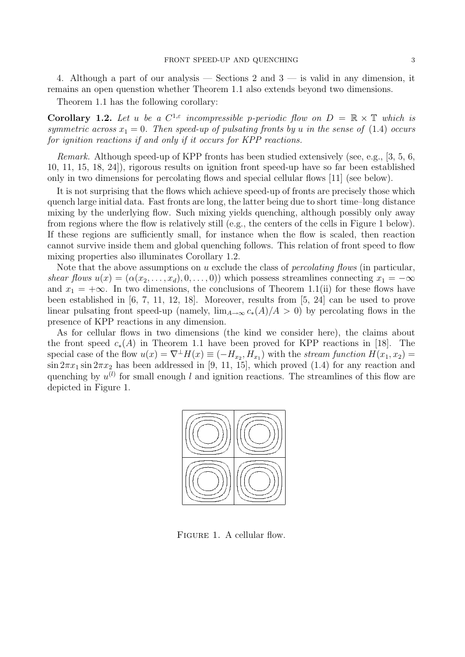4. Although a part of our analysis — Sections 2 and  $3$  — is valid in any dimension, it remains an open quenstion whether Theorem 1.1 also extends beyond two dimensions.

Theorem 1.1 has the following corollary:

**Corollary 1.2.** Let u be a  $C^{1,\epsilon}$  incompressible p-periodic flow on  $D = \mathbb{R} \times \mathbb{T}$  which is symmetric across  $x_1 = 0$ . Then speed-up of pulsating fronts by u in the sense of (1.4) occurs for ignition reactions if and only if it occurs for KPP reactions.

Remark. Although speed-up of KPP fronts has been studied extensively (see, e.g., [3, 5, 6, 10, 11, 15, 18, 24]), rigorous results on ignition front speed-up have so far been established only in two dimensions for percolating flows and special cellular flows [11] (see below).

It is not surprising that the flows which achieve speed-up of fronts are precisely those which quench large initial data. Fast fronts are long, the latter being due to short time–long distance mixing by the underlying flow. Such mixing yields quenching, although possibly only away from regions where the flow is relatively still (e.g., the centers of the cells in Figure 1 below). If these regions are sufficiently small, for instance when the flow is scaled, then reaction cannot survive inside them and global quenching follows. This relation of front speed to flow mixing properties also illuminates Corollary 1.2.

Note that the above assumptions on  $u$  exclude the class of *percolating flows* (in particular, shear flows  $u(x) = (\alpha(x_2, \ldots, x_d), 0, \ldots, 0)$  which possess streamlines connecting  $x_1 = -\infty$ and  $x_1 = +\infty$ . In two dimensions, the conclusions of Theorem 1.1(ii) for these flows have been established in [6, 7, 11, 12, 18]. Moreover, results from [5, 24] can be used to prove linear pulsating front speed-up (namely,  $\lim_{A\to\infty} c_*(A)/A > 0$ ) by percolating flows in the presence of KPP reactions in any dimension.

As for cellular flows in two dimensions (the kind we consider here), the claims about the front speed  $c_*(A)$  in Theorem 1.1 have been proved for KPP reactions in [18]. The special case of the flow  $u(x) = \nabla^{\perp} H(x) \equiv (-H_{x_2}, H_{x_1})$  with the stream function  $H(x_1, x_2) =$  $\sin 2\pi x_1 \sin 2\pi x_2$  has been addressed in [9, 11, 15], which proved (1.4) for any reaction and quenching by  $u^{(l)}$  for small enough l and ignition reactions. The streamlines of this flow are depicted in Figure 1.



FIGURE 1. A cellular flow.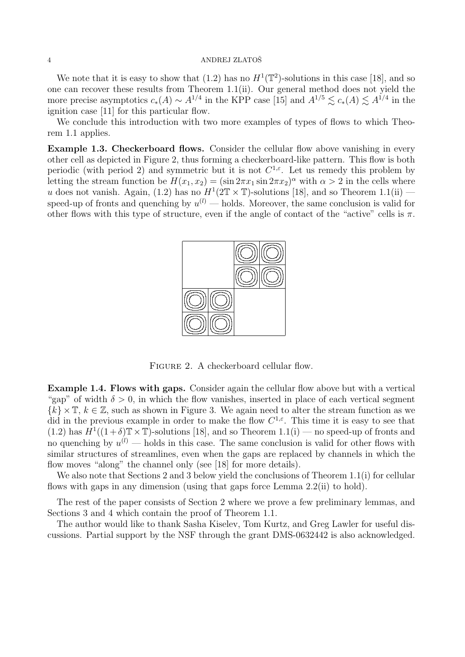We note that it is easy to show that  $(1.2)$  has no  $H^1(\mathbb{T}^2)$ -solutions in this case [18], and so one can recover these results from Theorem 1.1(ii). Our general method does not yield the more precise asymptotics  $c_*(A) \sim A^{1/4}$  in the KPP case [15] and  $A^{1/5} \lesssim c_*(A) \lesssim A^{1/4}$  in the ignition case [11] for this particular flow.

We conclude this introduction with two more examples of types of flows to which Theorem 1.1 applies.

Example 1.3. Checkerboard flows. Consider the cellular flow above vanishing in every other cell as depicted in Figure 2, thus forming a checkerboard-like pattern. This flow is both periodic (with period 2) and symmetric but it is not  $C^{1,\epsilon}$ . Let us remedy this problem by letting the stream function be  $H(x_1, x_2) = (\sin 2\pi x_1 \sin 2\pi x_2)^{\alpha}$  with  $\alpha > 2$  in the cells where u does not vanish. Again, (1.2) has no  $H^1(2\mathbb{T} \times \mathbb{T})$ -solutions [18], and so Theorem 1.1(ii) – speed-up of fronts and quenching by  $u^{(l)}$  — holds. Moreover, the same conclusion is valid for other flows with this type of structure, even if the angle of contact of the "active" cells is  $\pi$ .



FIGURE 2. A checkerboard cellular flow.

Example 1.4. Flows with gaps. Consider again the cellular flow above but with a vertical "gap" of width  $\delta > 0$ , in which the flow vanishes, inserted in place of each vertical segment  $\{k\}\times\mathbb{T}, k\in\mathbb{Z}$ , such as shown in Figure 3. We again need to alter the stream function as we did in the previous example in order to make the flow  $C^{1,\varepsilon}$ . This time it is easy to see that  $(1.2)$  has  $H^1((1+\delta)\mathbb{T}\times\mathbb{T})$ -solutions [18], and so Theorem 1.1(i) — no speed-up of fronts and no quenching by  $u^{(l)}$  — holds in this case. The same conclusion is valid for other flows with similar structures of streamlines, even when the gaps are replaced by channels in which the flow moves "along" the channel only (see [18] for more details).

We also note that Sections 2 and 3 below yield the conclusions of Theorem 1.1(i) for cellular flows with gaps in any dimension (using that gaps force Lemma 2.2(ii) to hold).

The rest of the paper consists of Section 2 where we prove a few preliminary lemmas, and Sections 3 and 4 which contain the proof of Theorem 1.1.

The author would like to thank Sasha Kiselev, Tom Kurtz, and Greg Lawler for useful discussions. Partial support by the NSF through the grant DMS-0632442 is also acknowledged.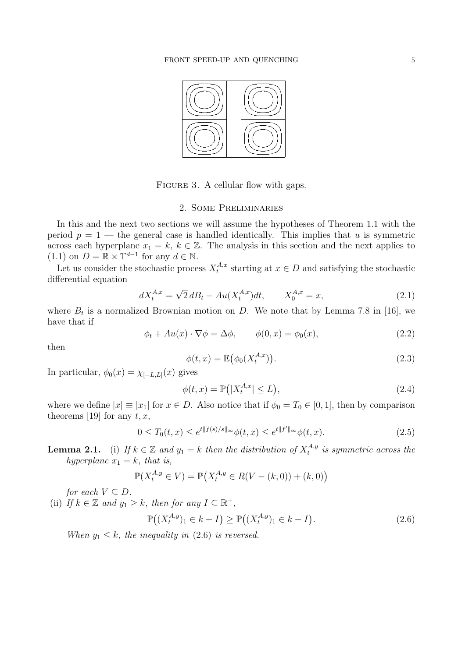#### FRONT SPEED-UP AND QUENCHING 5



FIGURE 3. A cellular flow with gaps.

### 2. Some Preliminaries

In this and the next two sections we will assume the hypotheses of Theorem 1.1 with the period  $p = 1$  — the general case is handled identically. This implies that u is symmetric across each hyperplane  $x_1 = k, k \in \mathbb{Z}$ . The analysis in this section and the next applies to  $(1.1)$  on  $D = \mathbb{R} \times \mathbb{T}^{d-1}$  for any  $d \in \mathbb{N}$ .

Let us consider the stochastic process  $X_t^{A,x}$  $t_t^{A,x}$  starting at  $x \in D$  and satisfying the stochastic differential equation

$$
dX_t^{A,x} = \sqrt{2} dB_t - Au(X_t^{A,x})dt, \qquad X_0^{A,x} = x,
$$
\n(2.1)

where  $B_t$  is a normalized Brownian motion on D. We note that by Lemma 7.8 in [16], we have that if

$$
\phi_t + Au(x) \cdot \nabla \phi = \Delta \phi, \qquad \phi(0, x) = \phi_0(x), \tag{2.2}
$$

then

$$
\phi(t,x) = \mathbb{E}(\phi_0(X_t^{A,x}))
$$
\n(2.3)

In particular,  $\phi_0(x) = \chi_{[-L,L]}(x)$  gives

$$
\phi(t,x) = \mathbb{P}\left(|X_t^{A,x}| \le L\right),\tag{2.4}
$$

where we define  $|x| \equiv |x_1|$  for  $x \in D$ . Also notice that if  $\phi_0 = T_0 \in [0, 1]$ , then by comparison theorems [19] for any  $t, x$ ,

$$
0 \le T_0(t, x) \le e^{t||f(s)/s||_{\infty}} \phi(t, x) \le e^{t||f'||_{\infty}} \phi(t, x).
$$
\n(2.5)

**Lemma 2.1.** (i) If  $k \in \mathbb{Z}$  and  $y_1 = k$  then the distribution of  $X_t^{A,y}$  $t^{A,y}_t$  is symmetric across the hyperplane  $x_1 = k$ , that is,

$$
\mathbb{P}(X_t^{A,y} \in V) = \mathbb{P}(X_t^{A,y} \in R(V - (k,0)) + (k,0))
$$

for each  $V \subseteq D$ .

(ii) If  $k \in \mathbb{Z}$  and  $y_1 \geq k$ , then for any  $I \subseteq \mathbb{R}^+$ ,

$$
\mathbb{P}\big((X_t^{A,y})_1 \in k+I\big) \ge \mathbb{P}\big((X_t^{A,y})_1 \in k-I\big). \tag{2.6}
$$

When  $y_1 \leq k$ , the inequality in (2.6) is reversed.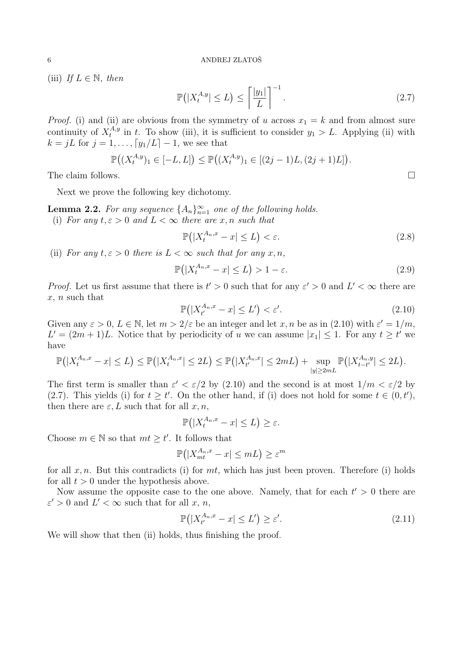(iii) If  $L \in \mathbb{N}$ , then

$$
\mathbb{P}\left(|X_t^{A,y}| \le L\right) \le \left\lceil \frac{|y_1|}{L} \right\rceil^{-1}.\tag{2.7}
$$

*Proof.* (i) and (ii) are obvious from the symmetry of u across  $x_1 = k$  and from almost sure continuity of  $X_t^{A,y}$  $t_t^{A,y}$  in t. To show (iii), it is sufficient to consider  $y_1 > L$ . Applying (ii) with  $k = jL$  for  $j = 1, \ldots, \lceil y_1/L \rceil - 1$ , we see that

$$
\mathbb{P}((X_t^{A,y})_1 \in [-L,L]) \leq \mathbb{P}((X_t^{A,y})_1 \in [(2j-1)L, (2j+1)L]).
$$

The claim follows.  $\Box$ 

Next we prove the following key dichotomy.

**Lemma 2.2.** For any sequence  $\{A_n\}_{n=1}^{\infty}$  one of the following holds. (i) For any  $t, \varepsilon > 0$  and  $L < \infty$  there are x, n such that

$$
\mathbb{P}\big(|X_t^{A_n,x} - x| \le L\big) < \varepsilon. \tag{2.8}
$$

(ii) For any  $t, \varepsilon > 0$  there is  $L < \infty$  such that for any  $x, n$ ,

$$
\mathbb{P}\left(|X_t^{A_n,x} - x| \le L\right) > 1 - \varepsilon. \tag{2.9}
$$

*Proof.* Let us first assume that there is  $t' > 0$  such that for any  $\varepsilon' > 0$  and  $L' < \infty$  there are x, n such that ¡ ¢

$$
\mathbb{P}\big(|X^{A_n,x}_{t'} - x| \le L'\big) < \varepsilon'.\tag{2.10}
$$

Given any  $\varepsilon > 0$ ,  $L \in \mathbb{N}$ , let  $m > 2/\varepsilon$  be an integer and let  $x, n$  be as in (2.10) with  $\varepsilon' = 1/m$ ,  $L' = (2m + 1)L$ . Notice that by periodicity of u we can assume  $|x_1| \leq 1$ . For any  $t \geq t'$  we have

$$
\mathbb{P}(|X_t^{A_n,x}-x|\leq L)\leq \mathbb{P}(|X_t^{A_n,x}|\leq 2L)\leq \mathbb{P}(|X_{t'}^{A_n,x}|\leq 2mL)+\sup_{|y|\geq 2mL}\mathbb{P}(|X_{t-t'}^{A_n,y}|\leq 2L).
$$

The first term is smaller than  $\varepsilon' < \varepsilon/2$  by (2.10) and the second is at most  $1/m < \varepsilon/2$  by (2.7). This yields (i) for  $t \geq t'$ . On the other hand, if (i) does not hold for some  $t \in (0, t')$ , then there are  $\varepsilon, L$  such that for all  $x, n$ ,

$$
\mathbb{P}(|X_t^{A_n,x}-x|\leq L)\geq \varepsilon.
$$

Choose  $m \in \mathbb{N}$  so that  $mt \geq t'$ . It follows that

$$
\mathbb{P}\big(|X^{A_n,x}_{mt} - x| \le mL\big) \ge \varepsilon^m
$$

for all  $x, n$ . But this contradicts (i) for  $mt$ , which has just been proven. Therefore (i) holds for all  $t > 0$  under the hypothesis above.

Now assume the opposite case to the one above. Namely, that for each  $t' > 0$  there are  $\varepsilon' > 0$  and  $L' < \infty$  such that for all x, n,

$$
\mathbb{P}\big(|X^{A_n,x}_{t'} - x| \le L'\big) \ge \varepsilon'.\tag{2.11}
$$

We will show that then (ii) holds, thus finishing the proof.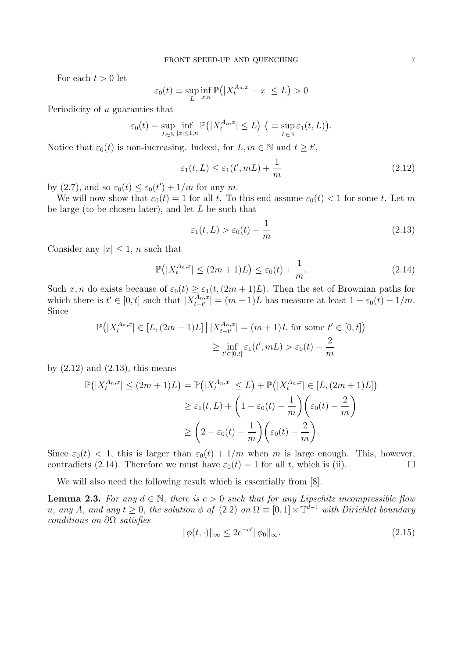For each  $t > 0$  let

$$
\varepsilon_0(t) \equiv \sup_L \inf_{x,n} \mathbb{P}\big(|X_t^{A_n,x} - x| \le L\big) > 0
$$

Periodicity of u guaranties that

$$
\varepsilon_0(t) = \sup_{L \in \mathbb{N}} \inf_{|x| \le 1,n} \mathbb{P}(|X_t^{A_n,x}| \le L) \quad (\equiv \sup_{L \in \mathbb{N}} \varepsilon_1(t,L)).
$$

Notice that  $\varepsilon_0(t)$  is non-increasing. Indeed, for  $L, m \in \mathbb{N}$  and  $t \geq t'$ ,

$$
\varepsilon_1(t, L) \le \varepsilon_1(t', mL) + \frac{1}{m} \tag{2.12}
$$

by (2.7), and so  $\varepsilon_0(t) \leq \varepsilon_0(t') + 1/m$  for any m.

We will now show that  $\varepsilon_0(t) = 1$  for all t. To this end assume  $\varepsilon_0(t) < 1$  for some t. Let m be large (to be chosen later), and let  $L$  be such that

$$
\varepsilon_1(t, L) > \varepsilon_0(t) - \frac{1}{m} \tag{2.13}
$$

Consider any  $|x| \leq 1$ , *n* such that

$$
\mathbb{P}\left(|X_t^{A_n,x}| \le (2m+1)L\right) \le \varepsilon_0(t) + \frac{1}{m}.\tag{2.14}
$$

Such x, n do exists because of  $\varepsilon_0(t) \geq \varepsilon_1(t,(2m+1)L)$ . Then the set of Brownian paths for which there is  $t' \in [0, t]$  such that  $X^{A_n, x}_{t-t'}$  $\left| \begin{array}{c} A_n, x \ -t' \end{array} \right| = (m+1)L$  has measure at least  $1 - \varepsilon_0(t) - 1/m$ . Since

$$
\mathbb{P}\left(|X_t^{A_n,x}| \in [L,(2m+1)L] \mid |X_{t-t'}^{A_n,x}| = (m+1)L \text{ for some } t' \in [0,t]\right)
$$

$$
\geq \inf_{t' \in [0,t]} \varepsilon_1(t',mL) > \varepsilon_0(t) - \frac{2}{m}
$$

by  $(2.12)$  and  $(2.13)$ , this means

$$
\mathbb{P}\left(|X_t^{A_n,x}| \leq (2m+1)L\right) = \mathbb{P}\left(|X_t^{A_n,x}| \leq L\right) + \mathbb{P}\left(|X_t^{A_n,x}| \in [L,(2m+1)L]\right)
$$

$$
\geq \varepsilon_1(t,L) + \left(1 - \varepsilon_0(t) - \frac{1}{m}\right) \left(\varepsilon_0(t) - \frac{2}{m}\right)
$$

$$
\geq \left(2 - \varepsilon_0(t) - \frac{1}{m}\right) \left(\varepsilon_0(t) - \frac{2}{m}\right).
$$

Since  $\varepsilon_0(t)$  < 1, this is larger than  $\varepsilon_0(t) + 1/m$  when m is large enough. This, however, contradicts (2.14). Therefore we must have  $\varepsilon_0(t) = 1$  for all t, which is (ii).

We will also need the following result which is essentially from [8].

**Lemma 2.3.** For any  $d \in \mathbb{N}$ , there is  $c > 0$  such that for any Lipschitz incompressible flow u, any A, and any  $t \geq 0$ , the solution  $\phi$  of  $(2.2)$  on  $\Omega \equiv [0,1] \times \mathbb{T}^{d-1}$  with Dirichlet boundary conditions on  $\partial\Omega$  satisfies

$$
\|\phi(t, \cdot)\|_{\infty} \le 2e^{-ct} \|\phi_0\|_{\infty}.
$$
\n(2.15)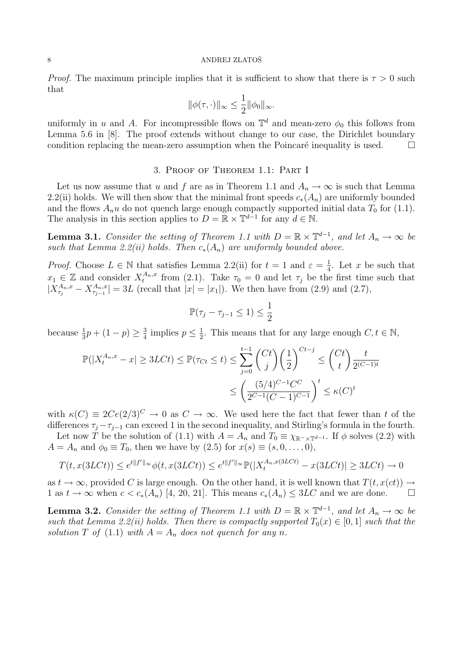*Proof.* The maximum principle implies that it is sufficient to show that there is  $\tau > 0$  such that

$$
\|\phi(\tau,\cdot)\|_\infty \leq \frac{1}{2} \|\phi_0\|_\infty.
$$

uniformly in u and A. For incompressible flows on  $\mathbb{T}^d$  and mean-zero  $\phi_0$  this follows from Lemma 5.6 in [8]. The proof extends without change to our case, the Dirichlet boundary condition replacing the mean-zero assumption when the Poincaré inequality is used.  $\Box$ 

## 3. Proof of Theorem 1.1: Part I

Let us now assume that u and f are as in Theorem 1.1 and  $A_n \to \infty$  is such that Lemma 2.2(ii) holds. We will then show that the minimal front speeds  $c_*(A_n)$  are uniformly bounded and the flows  $A_n u$  do not quench large enough compactly supported initial data  $T_0$  for (1.1). The analysis in this section applies to  $D = \mathbb{R} \times \mathbb{T}^{d-1}$  for any  $d \in \mathbb{N}$ .

**Lemma 3.1.** Consider the setting of Theorem 1.1 with  $D = \mathbb{R} \times \mathbb{T}^{d-1}$ , and let  $A_n \to \infty$  be such that Lemma 2.2(ii) holds. Then  $c_*(A_n)$  are uniformly bounded above.

*Proof.* Choose  $L \in \mathbb{N}$  that satisfies Lemma 2.2(ii) for  $t = 1$  and  $\varepsilon = \frac{1}{4}$  $\frac{1}{4}$ . Let x be such that  $x_1 \in \mathbb{Z}$  and consider  $X_t^{A_n,x}$  from (2.1). Take  $\tau_0 = 0$  and let  $\tau_j$  be the first time such that  $|X_{\tau_j}^{A_n,x} - X_{\tau_{j-1}}^{A_n,x}| = 3L$  (recall that  $|x| = |x_1|$ ). We then have from (2.9) and (2.7),

$$
\mathbb{P}(\tau_j - \tau_{j-1} \le 1) \le \frac{1}{2}
$$

because  $\frac{1}{3}p + (1 - p) \ge \frac{3}{4}$  $\frac{3}{4}$  implies  $p \leq \frac{1}{2}$  $\frac{1}{2}$ . This means that for any large enough  $C, t \in \mathbb{N}$ ,

$$
\mathbb{P}(|X_t^{A_n, x} - x| \ge 3LCt) \le \mathbb{P}(\tau_{Ct} \le t) \le \sum_{j=0}^{t-1} \binom{Ct}{j} \left(\frac{1}{2}\right)^{Ct-j} \le \binom{Ct}{t} \frac{t}{2^{(C-1)t}}
$$

$$
\le \left(\frac{(5/4)^{C-1}C^C}{2^{C-1}(C-1)^{C-1}}\right)^t \le \kappa(C)^t
$$

with  $\kappa(C) \equiv 2Ce(2/3)^C \to 0$  as  $C \to \infty$ . We used here the fact that fewer than t of the differences  $\tau_i - \tau_{i-1}$  can exceed 1 in the second inequality, and Stirling's formula in the fourth.

Let now T be the solution of (1.1) with  $A = A_n$  and  $T_0 \equiv \chi_{\mathbb{R}^-\times\mathbb{T}^{d-1}}$ . If  $\phi$  solves (2.2) with  $A = A_n$  and  $\phi_0 \equiv T_0$ , then we have by  $(2.5)$  for  $x(s) \equiv (s, 0, \ldots, 0)$ ,

$$
T(t, x(3LCt)) \le e^{t||f'||_{\infty}}\phi(t, x(3LCt)) \le e^{t||f'||_{\infty}}\mathbb{P}(|X_t^{A_n, x(3LCt)} - x(3LCt)| \ge 3LCt) \to 0
$$

as  $t \to \infty$ , provided C is large enough. On the other hand, it is well known that  $T(t, x(ct)) \to$ 1 as  $t \to \infty$  when  $c < c_*(A_n)$  [4, 20, 21]. This means  $c_*(A_n) \leq 3LC$  and we are done.  $\Box$ 

**Lemma 3.2.** Consider the setting of Theorem 1.1 with  $D = \mathbb{R} \times \mathbb{T}^{d-1}$ , and let  $A_n \to \infty$  be such that Lemma 2.2(ii) holds. Then there is compactly supported  $T_0(x) \in [0, 1]$  such that the solution T of (1.1) with  $A = A_n$  does not quench for any n.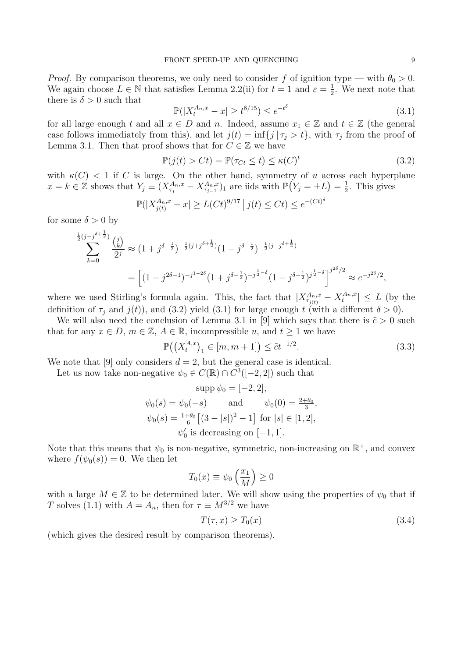*Proof.* By comparison theorems, we only need to consider f of ignition type — with  $\theta_0 > 0$ . We again choose  $L \in \mathbb{N}$  that satisfies Lemma 2.2(ii) for  $t = 1$  and  $\varepsilon = \frac{1}{2}$  $\frac{1}{2}$ . We next note that there is  $\delta > 0$  such that

$$
\mathbb{P}(|X_t^{A_n,x} - x| \ge t^{8/15}) \le e^{-t^{\delta}} \tag{3.1}
$$

for all large enough t and all  $x \in D$  and n. Indeed, assume  $x_1 \in \mathbb{Z}$  and  $t \in \mathbb{Z}$  (the general case follows immediately from this), and let  $j(t) = \inf\{j | \tau_j > t\}$ , with  $\tau_j$  from the proof of Lemma 3.1. Then that proof shows that for  $C \in \mathbb{Z}$  we have

$$
\mathbb{P}(j(t) > Ct) = \mathbb{P}(\tau_{Ct} \le t) \le \kappa(C)^t \tag{3.2}
$$

with  $\kappa(C) < 1$  if C is large. On the other hand, symmetry of u across each hyperplane  $x = k \in \mathbb{Z}$  shows that  $Y_j \equiv (X_{\tau_j}^{A_n,x} - X_{\tau_{j-1}}^{A_n,x})_1$  are iids with  $\mathbb{P}(Y_j = \pm L) = \frac{1}{2}$  $\frac{1}{2}$ . This gives

$$
\mathbb{P}(|X_{j(t)}^{A_n,x} - x| \ge L(Ct)^{9/17} | j(t) \le Ct) \le e^{-(Ct)^{\delta}}
$$

for some  $\delta > 0$  by

$$
\sum_{k=0}^{\frac{1}{2}(j-j^{\delta+\frac{1}{2}})} \frac{\binom{j}{k}}{2^j} \approx (1+j^{\delta-\frac{1}{2}})^{-\frac{1}{2}(j+j^{\delta+\frac{1}{2}})} (1-j^{\delta-\frac{1}{2}})^{-\frac{1}{2}(j-j^{\delta+\frac{1}{2}})} = \left[ (1-j^{2\delta-1})^{-j^{1-2\delta}} (1+j^{\delta-\frac{1}{2}})^{-j^{\frac{1}{2}-\delta}} (1-j^{\delta-\frac{1}{2}})^{j^{\frac{1}{2}-\delta}} \right]^{j^{2\delta}/2} \approx e^{-j^{2\delta}/2},
$$

where we used Stirling's formula again. This, the fact that  $|X_{\tau_{j(t)}}^{A_n,x} - X_t^{A_n,x}| \leq L$  (by the definition of  $\tau_j$  and  $j(t)$ ), and (3.2) yield (3.1) for large enough t (with a different  $\delta > 0$ ).

We will also need the conclusion of Lemma 3.1 in [9] which says that there is  $\tilde{c} > 0$  such that for any  $x \in D$ ,  $m \in \mathbb{Z}$ ,  $A \in \mathbb{R}$ , incompressible u, and  $t \geq 1$  we have

$$
\mathbb{P}((X_t^{A,x})_1 \in [m, m+1]) \le \tilde{c}t^{-1/2}.
$$
\n(3.3)

We note that [9] only considers  $d = 2$ , but the general case is identical.

Let us now take non-negative  $\psi_0 \in C(\mathbb{R}) \cap C^3([-2, 2])$  such that

$$
\text{supp}\,\psi_0 = [-2, 2],
$$
  
\n
$$
\psi_0(s) = \psi_0(-s) \qquad \text{and} \qquad \psi_0(0) = \frac{2+\theta_0}{3},
$$
  
\n
$$
\psi_0(s) = \frac{1+\theta_0}{6} \big[ (3-|s|)^2 - 1 \big] \text{ for } |s| \in [1, 2],
$$
  
\n
$$
\psi_0' \text{ is decreasing on } [-1, 1].
$$

Note that this means that  $\psi_0$  is non-negative, symmetric, non-increasing on  $\mathbb{R}^+$ , and convex where  $f(\psi_0(s)) = 0$ . We then let

$$
T_0(x) \equiv \psi_0\left(\frac{x_1}{M}\right) \ge 0
$$

with a large  $M \in \mathbb{Z}$  to be determined later. We will show using the properties of  $\psi_0$  that if T solves (1.1) with  $A = A_n$ , then for  $\tau \equiv M^{3/2}$  we have

$$
T(\tau, x) \ge T_0(x) \tag{3.4}
$$

(which gives the desired result by comparison theorems).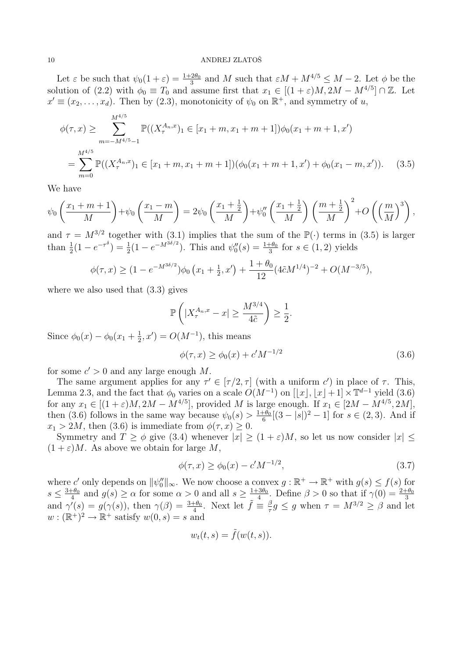Let  $\varepsilon$  be such that  $\psi_0(1+\varepsilon) = \frac{1+2\theta_0}{3}$  and M such that  $\varepsilon M + M^{4/5} \leq M - 2$ . Let  $\phi$  be the solution of (2.2) with  $\phi_0 \equiv T_0$  and assume first that  $x_1 \in [(1+\varepsilon)M, 2M - M^{4/5}] \cap \mathbb{Z}$ . Let  $x' \equiv (x_2, \ldots, x_d)$ . Then by (2.3), monotonicity of  $\psi_0$  on  $\mathbb{R}^+$ , and symmetry of u,

$$
\phi(\tau, x) \geq \sum_{m=-M^{4/5}-1}^{M^{4/5}} \mathbb{P}((X_{\tau}^{A_n, x})_1 \in [x_1 + m, x_1 + m + 1])\phi_0(x_1 + m + 1, x')
$$
  
= 
$$
\sum_{m=0}^{M^{4/5}} \mathbb{P}((X_{\tau}^{A_n, x})_1 \in [x_1 + m, x_1 + m + 1])(\phi_0(x_1 + m + 1, x') + \phi_0(x_1 - m, x')). \quad (3.5)
$$

We have

$$
\psi_0\left(\frac{x_1+m+1}{M}\right)+\psi_0\left(\frac{x_1-m}{M}\right)=2\psi_0\left(\frac{x_1+\frac{1}{2}}{M}\right)+\psi_0''\left(\frac{x_1+\frac{1}{2}}{M}\right)\left(\frac{m+\frac{1}{2}}{M}\right)^2+O\left(\left(\frac{m}{M}\right)^3\right),
$$

and  $\tau = M^{3/2}$  together with (3.1) implies that the sum of the  $\mathbb{P}(\cdot)$  terms in (3.5) is larger than  $\frac{1}{2}(1 - e^{-\tau^{\delta}}) = \frac{1}{2}(1 - e^{-M^{3\delta/2}})$ . This and  $\psi_0''(s) = \frac{1+\theta_0}{3}$  for  $s \in (1,2)$  yields

$$
\phi(\tau, x) \ge (1 - e^{-M^{3\delta/2}})\phi_0(x_1 + \frac{1}{2}, x') + \frac{1 + \theta_0}{12} (4\tilde{c}M^{1/4})^{-2} + O(M^{-3/5}),
$$

where we also used that (3.3) gives

$$
\mathbb{P}\left(|X_{\tau}^{A_n,x}-x| \ge \frac{M^{3/4}}{4\tilde{c}}\right) \ge \frac{1}{2}.
$$

Since  $\phi_0(x) - \phi_0(x_1 + \frac{1}{2})$  $(\frac{1}{2}, x') = O(M^{-1}),$  this means

$$
\phi(\tau, x) \ge \phi_0(x) + c'M^{-1/2} \tag{3.6}
$$

for some  $c' > 0$  and any large enough M.

The same argument applies for any  $\tau' \in [\tau/2, \tau]$  (with a uniform c') in place of  $\tau$ . This, Lemma 2.3, and the fact that  $\phi_0$  varies on a scale  $O(M^{-1})$  on  $[[x], [x]+1] \times \mathbb{T}^{d-1}$  yield (3.6) for any  $x_1 \in [(1+\varepsilon)M, 2M - M^{4/5}]$ , provided M is large enough. If  $x_1 \in [2M - M^{4/5}, 2M]$ , then (3.6) follows in the same way because  $\psi_0(s) > \frac{1+\theta_0}{6}$  $\frac{1-\theta_0}{6}[(3-|s|)^2-1]$  for  $s \in (2,3)$ . And if  $x_1 > 2M$ , then (3.6) is immediate from  $\phi(\tau, x) \geq 0$ .

Symmetry and  $T \ge \phi$  give (3.4) whenever  $|x| \ge (1+\varepsilon)M$ , so let us now consider  $|x|$  $(1+\varepsilon)M$ . As above we obtain for large M,

$$
\phi(\tau, x) \ge \phi_0(x) - c'M^{-1/2},\tag{3.7}
$$

where c' only depends on  $\|\psi_0''\|_{\infty}$ . We now choose a convex  $g : \mathbb{R}^+ \to \mathbb{R}^+$  with  $g(s) \leq f(s)$  for  $s \leq \frac{3+\theta_0}{4}$  $\frac{1+\theta_0}{4}$  and  $g(s) \ge \alpha$  for some  $\alpha > 0$  and all  $s \ge \frac{1+3\theta_0}{1+4\theta_0}$  $\frac{3\theta_0}{4}$ . Define  $\beta > 0$  so that if  $\gamma(0) = \frac{2+\theta_0}{3}$ and  $\gamma'(s) = g(\gamma(s))$ , then  $\gamma(\beta) = \frac{3+\theta_0}{4}$ . Next let  $\tilde{f} \equiv \frac{\beta}{\tau}$  $\frac{\beta}{\tau} g \leq g$  when  $\tau = M^{3/2} \geq \beta$  and let  $w:(\mathbb{R}^+)^2\to\mathbb{R}^+$  satisfy  $w(0,s)=s$  and

$$
w_t(t,s) = \tilde{f}(w(t,s)).
$$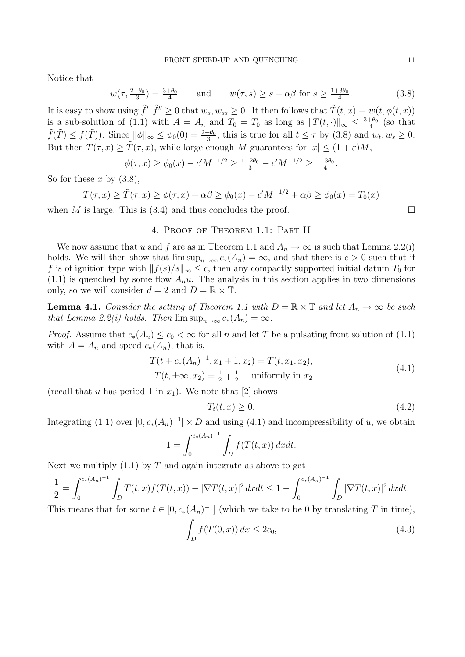Notice that

$$
w(\tau, \frac{2+\theta_0}{3}) = \frac{3+\theta_0}{4} \quad \text{and} \quad w(\tau, s) \ge s + \alpha \beta \text{ for } s \ge \frac{1+3\theta_0}{4}.\tag{3.8}
$$

It is easy to show using  $\tilde{f}', \tilde{f}'' \ge 0$  that  $w_s, w_{ss} \ge 0$ . It then follows that  $\tilde{T}(t, x) \equiv w(t, \phi(t, x))$ is a sub-solution of (1.1) with  $A = A_n$  and  $\tilde{T}_0 = T_0$  as long as  $\|\tilde{T}(t, \cdot)\|_{\infty} \leq \frac{3+\theta_0}{4}$  $rac{+\theta_0}{4}$  (so that  $\tilde{f}(\tilde{T}) \leq f(\tilde{T})$ ). Since  $\|\phi\|_{\infty} \leq \psi_0(0) = \frac{2+\theta_0}{3}$ , this is true for all  $t \leq \tau$  by (3.8) and  $w_t, w_s \geq 0$ . But then  $T(\tau, x) \geq T(\tau, x)$ , while large enough M guarantees for  $|x| \leq (1+\varepsilon)M$ ,

$$
\phi(\tau, x) \ge \phi_0(x) - c'M^{-1/2} \ge \frac{1+2\theta_0}{3} - c'M^{-1/2} \ge \frac{1+3\theta_0}{4}.
$$

So for these x by  $(3.8)$ ,

 $T(\tau, x) \ge \tilde{T}(\tau, x) \ge \phi(\tau, x) + \alpha \beta \ge \phi_0(x) - c'M^{-1/2} + \alpha \beta \ge \phi_0(x) = T_0(x)$ 

when M is large. This is (3.4) and thus concludes the proof.  $\Box$ 

# 4. Proof of Theorem 1.1: Part II

We now assume that u and f are as in Theorem 1.1 and  $A_n \to \infty$  is such that Lemma 2.2(i) holds. We will then show that  $\limsup_{n\to\infty} c_*(A_n) = \infty$ , and that there is  $c > 0$  such that if f is of ignition type with  $||f(s)/s||_{\infty} \leq c$ , then any compactly supported initial datum  $T_0$  for  $(1.1)$  is quenched by some flow  $A_n u$ . The analysis in this section applies in two dimensions only, so we will consider  $d = 2$  and  $D = \mathbb{R} \times \mathbb{T}$ .

**Lemma 4.1.** Consider the setting of Theorem 1.1 with  $D = \mathbb{R} \times \mathbb{T}$  and let  $A_n \to \infty$  be such that Lemma 2.2(i) holds. Then  $\limsup_{n\to\infty} c_*(A_n) = \infty$ .

*Proof.* Assume that  $c_*(A_n) \leq c_0 < \infty$  for all n and let T be a pulsating front solution of (1.1) with  $A = A_n$  and speed  $c_*(A_n)$ , that is,

$$
T(t + c_*(A_n)^{-1}, x_1 + 1, x_2) = T(t, x_1, x_2),
$$
  
\n
$$
T(t, \pm \infty, x_2) = \frac{1}{2} \mp \frac{1}{2}
$$
 uniformly in  $x_2$  (4.1)

(recall that u has period 1 in  $x_1$ ). We note that [2] shows

$$
T_t(t, x) \ge 0. \tag{4.2}
$$

Integrating (1.1) over  $[0, c_*(A_n)^{-1}] \times D$  and using (4.1) and incompressibility of u, we obtain

$$
1 = \int_0^{c_*(A_n)^{-1}} \int_D f(T(t, x)) \, dx \, dt.
$$

Next we multiply  $(1.1)$  by T and again integrate as above to get

$$
\frac{1}{2} = \int_0^{c_*(A_n)^{-1}} \int_D T(t,x)f(T(t,x)) - |\nabla T(t,x)|^2 dx dt \le 1 - \int_0^{c_*(A_n)^{-1}} \int_D |\nabla T(t,x)|^2 dx dt.
$$

This means that for some  $t \in [0, c_*(A_n)^{-1}]$  (which we take to be 0 by translating T in time), Z

$$
\int_{D} f(T(0, x)) dx \le 2c_0,
$$
\n(4.3)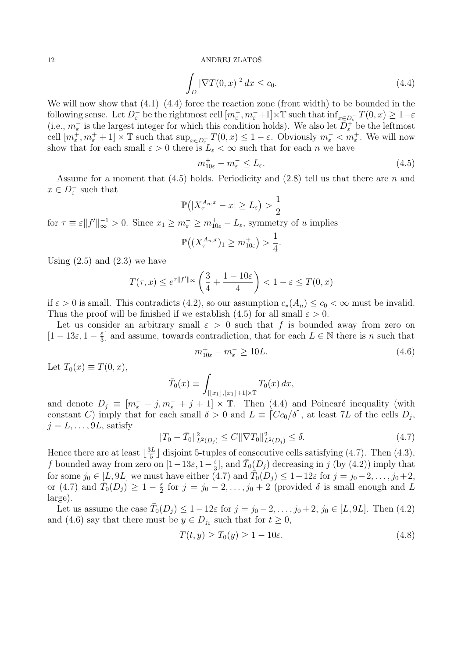$$
\int_{D} |\nabla T(0, x)|^2 dx \le c_0.
$$
\n(4.4)

We will now show that  $(4.1)$ – $(4.4)$  force the reaction zone (front width) to be bounded in the following sense. Let  $D_{\varepsilon}^-$  be the rightmost cell  $[m_{\varepsilon}^-, m_{\varepsilon}^-+1] \times \mathbb{T}$  such that  $\inf_{x \in D_{\varepsilon}^-} T(0, x) \geq 1 - \varepsilon$ (i.e.,  $m_{\varepsilon}^-$  is the largest integer for which this condition holds). We also let  $\overline{D_{\varepsilon}^+}$  be the leftmost cell  $[m_{\varepsilon}^+, m_{\varepsilon}^+ + 1] \times \mathbb{T}$  such that  $\sup_{x \in D_{\varepsilon}^+} T(0, x) \leq 1 - \varepsilon$ . Obviously  $m_{\varepsilon}^- < m_{\varepsilon}^+$ . We will now show that for each small  $\varepsilon > 0$  there is  $L_{\varepsilon} < \infty$  such that for each n we have

$$
m_{10\varepsilon}^+ - m_\varepsilon^- \le L_\varepsilon. \tag{4.5}
$$

Assume for a moment that  $(4.5)$  holds. Periodicity and  $(2.8)$  tell us that there are n and  $x \in D_{\varepsilon}^-$  such that

$$
\mathbb{P}\left(|X^{A_n,x}_{\tau}-x|\geq L_{\varepsilon}\right)>\frac{1}{2}
$$

for  $\tau \equiv \varepsilon ||f'||_{\infty}^{-1} > 0$ . Since  $x_1 \ge m_{\varepsilon}^- \ge m_{10\varepsilon}^+ - L_{\varepsilon}$ , symmetry of u implies

$$
\mathbb{P}\big((X^{A_n,x}_\tau)_1\geq m^+_{10\varepsilon}\big)>\frac{1}{4}.
$$

Using  $(2.5)$  and  $(2.3)$  we have

$$
T(\tau, x) \le e^{\tau \|f'\|_{\infty}} \left(\frac{3}{4} + \frac{1 - 10\varepsilon}{4}\right) < 1 - \varepsilon \le T(0, x)
$$

if  $\varepsilon > 0$  is small. This contradicts (4.2), so our assumption  $c_*(A_n) \leq c_0 < \infty$  must be invalid. Thus the proof will be finished if we establish (4.5) for all small  $\varepsilon > 0$ .

Let us consider an arbitrary small  $\varepsilon > 0$  such that f is bounded away from zero on  $[1-13\varepsilon, 1-\frac{\varepsilon}{3}]$  $\frac{\varepsilon}{3}$  and assume, towards contradiction, that for each  $L \in \mathbb{N}$  there is n such that

$$
m_{10\varepsilon}^+ - m_\varepsilon^- \ge 10L. \tag{4.6}
$$

Let  $T_0(x) \equiv T(0, x)$ ,

$$
\bar{T}_0(x) \equiv \int_{[[x_1],[x_1]+1] \times \mathbb{T}} T_0(x) \, dx,
$$

and denote  $D_j \equiv [m_{\varepsilon}^- + j, m_{\varepsilon}^- + j + 1] \times \mathbb{T}$ . Then (4.4) and Poincaré inequality (with constant C) imply that for each small  $\delta > 0$  and  $L \equiv [Cc_0/\delta]$ , at least 7L of the cells  $D_j$ ,  $j = L, \ldots, 9L$ , satisfy

$$
||T_0 - \bar{T}_0||_{L^2(D_j)}^2 \le C||\nabla T_0||_{L^2(D_j)}^2 \le \delta.
$$
\n(4.7)

Hence there are at least  $\frac{3L}{5}$  $\frac{5L}{5}$  disjoint 5-tuples of consecutive cells satisfying (4.7). Then (4.3), f bounded away from zero on  $[1-13\varepsilon, 1-\frac{\varepsilon}{3}]$  $\frac{\varepsilon}{3}$ , and  $\bar{T}_0(D_j)$  decreasing in j (by (4.2)) imply that for some  $j_0 \in [L, 9L]$  we must have either  $(4.7)$  and  $\overline{T}_0(D_j) \leq 1-12\varepsilon$  for  $j = j_0-2, \ldots, j_0+2$ , or (4.7) and  $\overline{T}_0(D_j) \geq 1 - \frac{\varepsilon}{2}$  $\frac{\varepsilon}{2}$  for  $j = j_0 - 2, \ldots, j_0 + 2$  (provided  $\delta$  is small enough and L large).

Let us assume the case  $\bar{T}_0(D_j) \leq 1 - 12\varepsilon$  for  $j = j_0 - 2, \ldots, j_0 + 2, j_0 \in [L, 9L]$ . Then (4.2) and (4.6) say that there must be  $y \in D_{j_0}$  such that for  $t \geq 0$ ,

$$
T(t, y) \ge T_0(y) \ge 1 - 10\varepsilon. \tag{4.8}
$$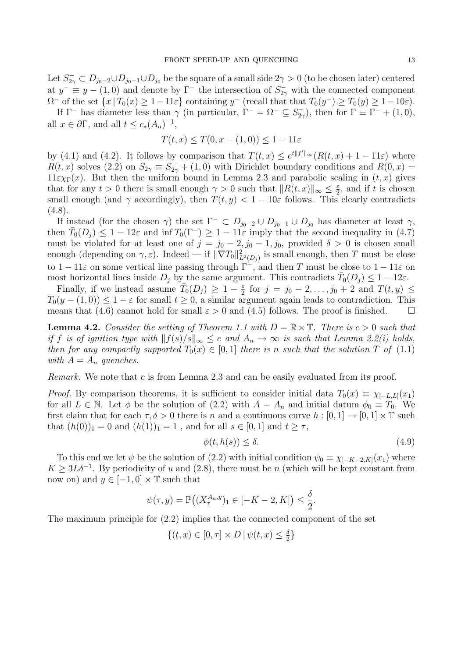Let  $S_{2\gamma}^- \subset D_{j_0-2} \cup D_{j_0-1} \cup D_{j_0}$  be the square of a small side  $2\gamma > 0$  (to be chosen later) centered at  $y^- \equiv y - (1,0)$  and denote by  $\Gamma^-$  the intersection of  $S_{2\gamma}^-$  with the connected component  $\Omega^-$  of the set  $\{x \mid T_0(x) \geq 1 - 11\varepsilon\}$  containing  $y^-$  (recall that that  $T_0(y^-) \geq T_0(y) \geq 1 - 10\varepsilon$ ).

If  $\Gamma^-$  has diameter less than  $\gamma$  (in particular,  $\Gamma^- = \Omega^- \subseteq S^-_{2\gamma}$ ), then for  $\Gamma \equiv \Gamma^- + (1,0)$ , all  $x \in \partial \Gamma$ , and all  $t \leq c_*(A_n)^{-1}$ ,

$$
T(t, x) \leq T(0, x - (1, 0)) \leq 1 - 11\varepsilon
$$

by (4.1) and (4.2). It follows by comparison that  $T(t, x) \leq e^{t||f'||_{\infty}} (R(t, x) + 1 - 11\varepsilon)$  where  $R(t, x)$  solves (2.2) on  $S_{2\gamma} \equiv S_{2\gamma}^- + (1, 0)$  with Dirichlet boundary conditions and  $R(0, x) =$  $11\varepsilon \chi_{\Gamma}(x)$ . But then the uniform bound in Lemma 2.3 and parabolic scaling in  $(t, x)$  gives that for any  $t > 0$  there is small enough  $\gamma > 0$  such that  $||R(t, x)||_{\infty} \leq \frac{\varepsilon}{2}$  $\frac{\varepsilon}{2}$ , and if t is chosen small enough (and  $\gamma$  accordingly), then  $T(t, y) < 1 - 10\varepsilon$  follows. This clearly contradicts  $(4.8).$ 

If instead (for the chosen  $\gamma$ ) the set  $\Gamma^- \subset D_{j_0-2} \cup D_{j_0-1} \cup D_{j_0}$  has diameter at least  $\gamma$ , then  $\overline{T}_0(D_j) \leq 1 - 12\varepsilon$  and  $\inf T_0(\Gamma^-) \geq 1 - 11\varepsilon$  imply that the second inequality in  $(4.7)$ must be violated for at least one of  $j = j_0 - 2, j_0 - 1, j_0$ , provided  $\delta > 0$  is chosen small enough (depending on  $\gamma, \varepsilon$ ). Indeed — if  $\|\nabla T_0\|_{L^2(D_j)}^2$  is small enough, then T must be close to  $1 - 11\varepsilon$  on some vertical line passing through  $\Gamma^{-}$ , and then T must be close to  $1 - 11\varepsilon$  on most horizontal lines inside  $D_j$  by the same argument. This contradicts  $\bar{T}_0(D_j) \leq 1 - 12\varepsilon$ .

Finally, if we instead assume  $\overline{T}_0(D_j) \geq 1 - \frac{\varepsilon}{2}$  $\frac{\varepsilon}{2}$  for  $j = j_0 - 2, \ldots, j_0 + 2$  and  $T(t, y) \leq$  $T_0(y-(1,0)) \leq 1-\varepsilon$  for small  $t \geq 0$ , a similar argument again leads to contradiction. This means that (4.6) cannot hold for small  $\varepsilon > 0$  and (4.5) follows. The proof is finished.  $\Box$ 

**Lemma 4.2.** Consider the setting of Theorem 1.1 with  $D = \mathbb{R} \times \mathbb{T}$ . There is  $c > 0$  such that if f is of ignition type with  $||f(s)/s||_{\infty} \leq c$  and  $A_n \to \infty$  is such that Lemma 2.2(i) holds, then for any compactly supported  $T_0(x) \in [0,1]$  there is n such that the solution T of (1.1) with  $A = A_n$  quenches.

Remark. We note that c is from Lemma 2.3 and can be easily evaluated from its proof.

*Proof.* By comparison theorems, it is sufficient to consider initial data  $T_0(x) \equiv \chi_{[-L,L]}(x_1)$ for all  $L \in \mathbb{N}$ . Let  $\phi$  be the solution of (2.2) with  $A = A_n$  and initial datum  $\phi_0 \equiv T_0$ . We first claim that for each  $\tau, \delta > 0$  there is n and a continuous curve  $h : [0, 1] \to [0, 1] \times \mathbb{T}$  such that  $(h(0))_1 = 0$  and  $(h(1))_1 = 1$ , and for all  $s \in [0,1]$  and  $t \geq \tau$ ,

$$
\phi(t, h(s)) \le \delta. \tag{4.9}
$$

To this end we let  $\psi$  be the solution of (2.2) with initial condition  $\psi_0 \equiv \chi_{[-K-2,K]}(x_1)$  where  $K \geq 3L\delta^{-1}$ . By periodicity of u and (2.8), there must be n (which will be kept constant from now on) and  $y \in [-1, 0] \times \mathbb{T}$  such that

$$
\psi(\tau, y) = \mathbb{P}\big((X^{A_n, y}_\tau)_1 \in [-K - 2, K]\big) \le \frac{\delta}{2}.
$$

The maximum principle for (2.2) implies that the connected component of the set

$$
\{(t,x)\in[0,\tau]\times D\,|\,\psi(t,x)\leq\tfrac{\delta}{2}\}
$$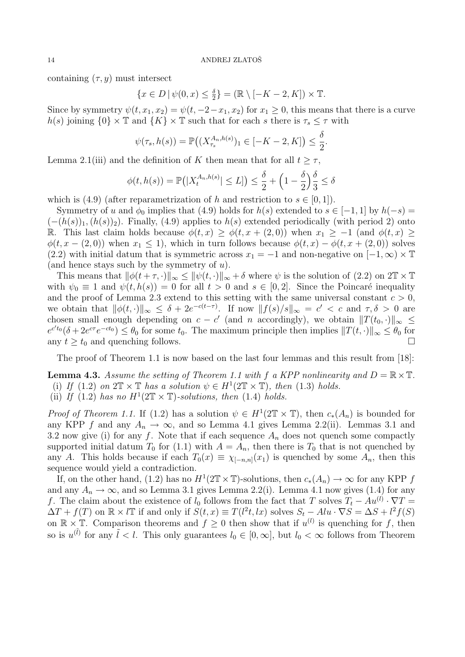containing  $(\tau, y)$  must intersect

$$
\{x \in D \mid \psi(0, x) \le \frac{\delta}{2}\} = (\mathbb{R} \setminus [-K - 2, K]) \times \mathbb{T}.
$$

Since by symmetry  $\psi(t, x_1, x_2) = \psi(t, -2 - x_1, x_2)$  for  $x_1 \geq 0$ , this means that there is a curve h(s) joining  ${0} \times \mathbb{T}$  and  ${K} \times \mathbb{T}$  such that for each s there is  $\tau_s \leq \tau$  with

$$
\psi(\tau_s, h(s)) = \mathbb{P}\big((X_{\tau_s}^{A_n, h(s)})_1 \in [-K-2, K]\big) \le \frac{\delta}{2}.
$$

Lemma 2.1(iii) and the definition of K then mean that for all  $t \geq \tau$ ,

$$
\phi(t, h(s)) = \mathbb{P}\big(|X_t^{A_n, h(s)}| \le L]\big) \le \frac{\delta}{2} + \left(1 - \frac{\delta}{2}\right)\frac{\delta}{3} \le \delta
$$

which is (4.9) (after reparametrization of h and restriction to  $s \in [0,1]$ ).

Symmetry of u and  $\phi_0$  implies that (4.9) holds for  $h(s)$  extended to  $s \in [-1,1]$  by  $h(-s) =$  $(-(h(s))_1,(h(s))_2)$ . Finally, (4.9) applies to  $h(s)$  extended periodically (with period 2) onto R. This last claim holds because  $\phi(t, x) \geq \phi(t, x + (2, 0))$  when  $x_1 \geq -1$  (and  $\phi(t, x) \geq$  $\phi(t, x - (2, 0))$  when  $x_1 \leq 1$ , which in turn follows because  $\phi(t, x) - \phi(t, x + (2, 0))$  solves (2.2) with initial datum that is symmetric across  $x_1 = -1$  and non-negative on  $[-1,\infty) \times \mathbb{T}$ (and hence stays such by the symmetry of  $u$ ).

This means that  $\|\phi(t + \tau, \cdot)\|_{\infty} \le \|\psi(t, \cdot)\|_{\infty} + \delta$  where  $\psi$  is the solution of (2.2) on  $2\mathbb{T} \times \mathbb{T}$ with  $\psi_0 \equiv 1$  and  $\psi(t, h(s)) = 0$  for all  $t > 0$  and  $s \in [0, 2]$ . Since the Poincaré inequality and the proof of Lemma 2.3 extend to this setting with the same universal constant  $c > 0$ , we obtain that  $\|\phi(t, \cdot)\|_{\infty} \leq \delta + 2e^{-c(t-\tau)}$ . If now  $\|f(s)/s\|_{\infty} = c' < c$  and  $\tau, \delta > 0$  are chosen small enough depending on  $c - c'$  (and n accordingly), we obtain  $||T(t_0, \cdot)||_{\infty} \le$  $e^{ct}(\delta + 2e^{c\tau}e^{-ct_0}) \leq \theta_0$  for some  $t_0$ . The maximum principle then implies  $||T(t, \cdot)||_{\infty} \leq \theta_0$  for any  $t \geq t_0$  and quenching follows.

The proof of Theorem 1.1 is now based on the last four lemmas and this result from [18]:

**Lemma 4.3.** Assume the setting of Theorem 1.1 with f a KPP nonlinearity and  $D = \mathbb{R} \times \mathbb{T}$ . (i) If (1.2) on  $2\mathbb{T} \times \mathbb{T}$  has a solution  $\psi \in H^1(2\mathbb{T} \times \mathbb{T})$ , then (1.3) holds.

(ii) If (1.2) has no  $H^1(2\mathbb{T} \times \mathbb{T})$ -solutions, then (1.4) holds.

*Proof of Theorem 1.1.* If (1.2) has a solution  $\psi \in H^1(2\mathbb{T} \times \mathbb{T})$ , then  $c_*(A_n)$  is bounded for any KPP f and any  $A_n \to \infty$ , and so Lemma 4.1 gives Lemma 2.2(ii). Lemmas 3.1 and 3.2 now give (i) for any f. Note that if each sequence  $A_n$  does not quench some compactly supported initial datum  $T_0$  for (1.1) with  $A = A_n$ , then there is  $T_0$  that is not quenched by any A. This holds because if each  $T_0(x) \equiv \chi_{[-n,n]}(x_1)$  is quenched by some  $A_n$ , then this sequence would yield a contradiction.

If, on the other hand, (1.2) has no  $H^1(2\mathbb{T} \times \mathbb{T})$ -solutions, then  $c_*(A_n) \to \infty$  for any KPP f and any  $A_n \to \infty$ , and so Lemma 3.1 gives Lemma 2.2(i). Lemma 4.1 now gives (1.4) for any f. The claim about the existence of  $l_0$  follows from the fact that T solves  $T_t - Au^{(l)} \cdot \nabla T =$  $\Delta T + f(T)$  on  $\mathbb{R} \times l\mathbb{T}$  if and only if  $S(t, x) \equiv T(l^2t, lx)$  solves  $S_t - Alu \cdot \nabla S = \Delta S + l^2 f(S)$ on  $\mathbb{R} \times \mathbb{T}$ . Comparison theorems and  $f \geq 0$  then show that if  $u^{(l)}$  is quenching for f, then so is  $u^{(\tilde{l})}$  for any  $\tilde{l} < l$ . This only guarantees  $l_0 \in [0,\infty]$ , but  $l_0 < \infty$  follows from Theorem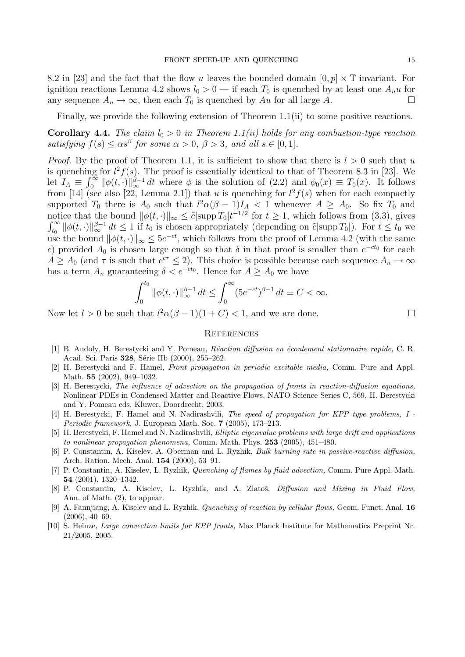8.2 in [23] and the fact that the flow u leaves the bounded domain  $[0, p] \times \mathbb{T}$  invariant. For ignition reactions Lemma 4.2 shows  $l_0 > 0$  — if each  $T_0$  is quenched by at least one  $A_n u$  for any sequence  $A_n \to \infty$ , then each  $T_0$  is quenched by Au for all large A.

Finally, we provide the following extension of Theorem 1.1(ii) to some positive reactions.

**Corollary 4.4.** The claim  $l_0 > 0$  in Theorem 1.1(ii) holds for any combustion-type reaction satisfying  $f(s) \leq \alpha s^{\beta}$  for some  $\alpha > 0$ ,  $\beta > 3$ , and all  $s \in [0, 1]$ .

*Proof.* By the proof of Theorem 1.1, it is sufficient to show that there is  $l > 0$  such that u is quenching for  $l^2 f(s)$ . The proof is essentially identical to that of Theorem 8.3 in [23]. We let  $I_A \equiv$  $\mathop{\rm arg}_\Gamma$  $\int_0^{\infty} ||\phi(t, \cdot)||_{\infty}^{\beta-1} dt$  where  $\phi$  is the solution of (2.2) and  $\phi_0(x) \equiv T_0(x)$ . It follows from [14] (see also [22, Lemma 2.1]) that u is quenching for  $l^2 f(s)$  when for each compactly supported  $T_0$  there is  $A_0$  such that  $l^2\alpha(\beta-1)I_A < 1$  whenever  $A \geq A_0$ . So fix  $T_0$  and notice that the bound  $\|\phi(t, \cdot)\|_{\infty} \leq \tilde{c} |\text{supp } T_0| t^{-1/2}$  for  $t \geq 1$ , which follows from (3.3), gives  $\int_{t_0}^{\infty} ||\phi(t, \cdot)||_{\infty}^{\beta-1} dt \leq 1$  if  $t_0$  is chosen appropriately (depending on  $\tilde{c}$  supp  $T_0$ )). For  $t \leq t_0$  we use the bound  $\|\phi(t, \cdot)\|_{\infty} \le 5e^{-ct}$ , which follows from the proof of Lemma 4.2 (with the same c) provided  $A_0$  is chosen large enough so that  $\delta$  in that proof is smaller than  $e^{-ct_0}$  for each  $A \geq A_0$  (and  $\tau$  is such that  $e^{c\tau} \leq 2$ ). This choice is possible because each sequence  $A_n \to \infty$ has a term  $A_n$  guaranteeing  $\delta < e^{-ct_0}$ . Hence for  $A \geq A_0$  we have

$$
\int_0^{t_0} \|\phi(t,\cdot)\|_{\infty}^{\beta-1} dt \le \int_0^{\infty} (5e^{-ct})^{\beta-1} dt \equiv C < \infty.
$$

Now let  $l > 0$  be such that  $l^2\alpha(\beta - 1)(1 + C) < 1$ , and we are done.

#### **REFERENCES**

- [1] B. Audoly, H. Berestycki and Y. Pomeau, Réaction diffusion en écoulement stationnaire rapide, C. R. Acad. Sci. Paris 328, Série IIb (2000), 255–262.
- [2] H. Berestycki and F. Hamel, Front propagation in periodic excitable media, Comm. Pure and Appl. Math. 55 (2002), 949–1032.
- [3] H. Berestycki, The influence of advection on the propagation of fronts in reaction-diffusion equations, Nonlinear PDEs in Condensed Matter and Reactive Flows, NATO Science Series C, 569, H. Berestycki and Y. Pomeau eds, Kluwer, Doordrecht, 2003.
- [4] H. Berestycki, F. Hamel and N. Nadirashvili, The speed of propagation for KPP type problems, I Periodic framework, J. European Math. Soc. 7 (2005), 173–213.
- [5] H. Berestycki, F. Hamel and N. Nadirashvili, Elliptic eigenvalue problems with large drift and applications to nonlinear propagation phenomena, Comm. Math. Phys. 253 (2005), 451–480.
- [6] P. Constantin, A. Kiselev, A. Oberman and L. Ryzhik, Bulk burning rate in passive-reactive diffusion, Arch. Ration. Mech. Anal. 154 (2000), 53–91.
- [7] P. Constantin, A. Kiselev, L. Ryzhik, Quenching of flames by fluid advection, Comm. Pure Appl. Math. 54 (2001), 1320–1342.
- [8] P. Constantin, A. Kiselev, L. Ryzhik, and A. Zlatoš, *Diffusion and Mixing in Fluid Flow*, Ann. of Math. (2), to appear.
- [9] A. Fannjiang, A. Kiselev and L. Ryzhik, Quenching of reaction by cellular flows, Geom. Funct. Anal. 16 (2006), 40–69.
- [10] S. Heinze, Large convection limits for KPP fronts, Max Planck Institute for Mathematics Preprint Nr. 21/2005, 2005.